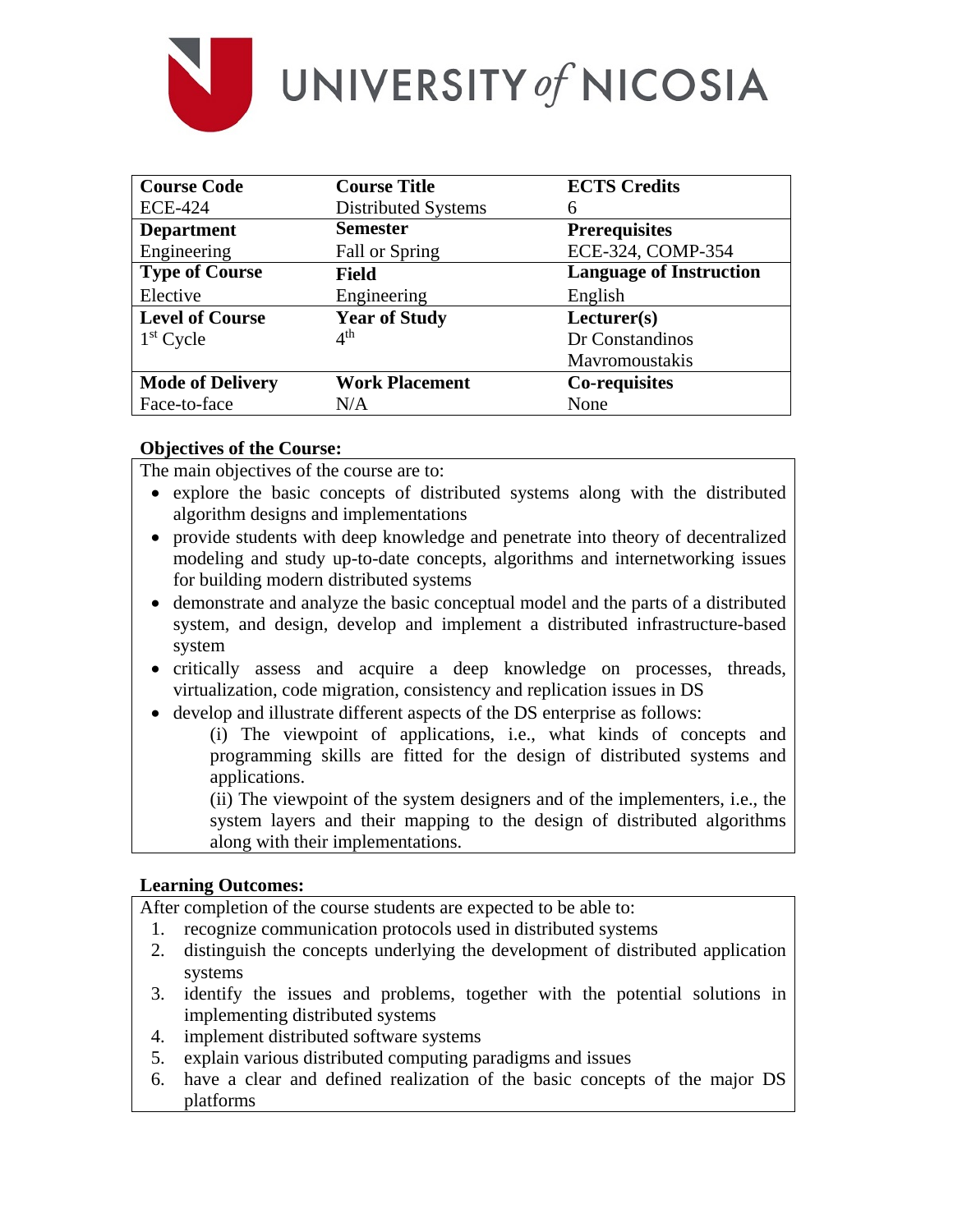

UNIVERSITY of NICOSIA

| <b>Course Code</b>      | <b>Course Title</b>   | <b>ECTS Credits</b>            |
|-------------------------|-----------------------|--------------------------------|
| <b>ECE-424</b>          | Distributed Systems   | 6                              |
| <b>Department</b>       | <b>Semester</b>       | <b>Prerequisites</b>           |
| Engineering             | Fall or Spring        | ECE-324, COMP-354              |
| <b>Type of Course</b>   | <b>Field</b>          | <b>Language of Instruction</b> |
| Elective                | Engineering           | English                        |
| <b>Level of Course</b>  | <b>Year of Study</b>  | Lecturer(s)                    |
| $1st$ Cycle             | 4 <sup>th</sup>       | Dr Constandinos                |
|                         |                       | Mavromoustakis                 |
| <b>Mode of Delivery</b> | <b>Work Placement</b> | Co-requisites                  |
| Face-to-face            | N/A                   | None                           |

#### **Objectives of the Course:**

The main objectives of the course are to:

- explore the basic concepts of distributed systems along with the distributed algorithm designs and implementations
- provide students with deep knowledge and penetrate into theory of decentralized modeling and study up-to-date concepts, algorithms and internetworking issues for building modern distributed systems
- demonstrate and analyze the basic conceptual model and the parts of a distributed system, and design, develop and implement a distributed infrastructure-based system
- critically assess and acquire a deep knowledge on processes, threads, virtualization, code migration, consistency and replication issues in DS
- develop and illustrate different aspects of the DS enterprise as follows:

(i) The viewpoint of applications, i.e., what kinds of concepts and programming skills are fitted for the design of distributed systems and applications.

(ii) The viewpoint of the system designers and of the implementers, i.e., the system layers and their mapping to the design of distributed algorithms along with their implementations.

## **Learning Outcomes:**

After completion of the course students are expected to be able to:

- 1. recognize communication protocols used in distributed systems
- 2. distinguish the concepts underlying the development of distributed application systems
- 3. identify the issues and problems, together with the potential solutions in implementing distributed systems
- 4. implement distributed software systems
- 5. explain various distributed computing paradigms and issues
- 6. have a clear and defined realization of the basic concepts of the major DS platforms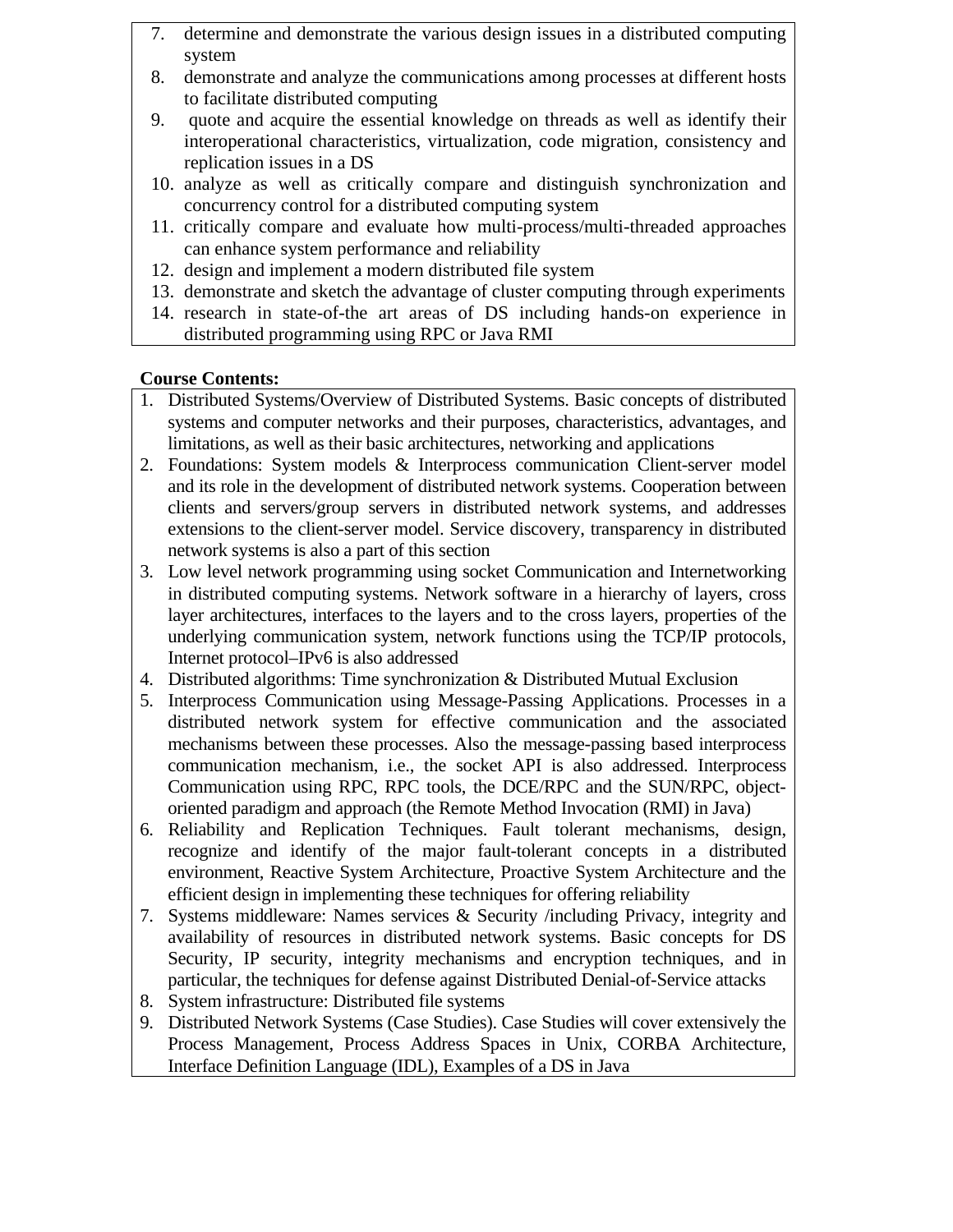- 7. determine and demonstrate the various design issues in a distributed computing system
- 8. demonstrate and analyze the communications among processes at different hosts to facilitate distributed computing
- 9. quote and acquire the essential knowledge on threads as well as identify their interoperational characteristics, virtualization, code migration, consistency and replication issues in a DS
- 10. analyze as well as critically compare and distinguish synchronization and concurrency control for a distributed computing system
- 11. critically compare and evaluate how multi-process/multi-threaded approaches can enhance system performance and reliability
- 12. design and implement a modern distributed file system
- 13. demonstrate and sketch the advantage of cluster computing through experiments
- 14. research in state-of-the art areas of DS including hands-on experience in distributed programming using RPC or Java RMI

# **Course Contents:**

- 1. Distributed Systems/Overview of Distributed Systems. Basic concepts of distributed systems and computer networks and their purposes, characteristics, advantages, and limitations, as well as their basic architectures, networking and applications
- 2. Foundations: System models & Interprocess communication Client-server model and its role in the development of distributed network systems. Cooperation between clients and servers/group servers in distributed network systems, and addresses extensions to the client-server model. Service discovery, transparency in distributed network systems is also a part of this section
- 3. Low level network programming using socket Communication and Internetworking in distributed computing systems. Network software in a hierarchy of layers, cross layer architectures, interfaces to the layers and to the cross layers, properties of the underlying communication system, network functions using the TCP/IP protocols, Internet protocol–IPv6 is also addressed
- 4. Distributed algorithms: Time synchronization & Distributed Mutual Exclusion
- 5. Interprocess Communication using Message-Passing Applications. Processes in a distributed network system for effective communication and the associated mechanisms between these processes. Also the message-passing based interprocess communication mechanism, i.e., the socket API is also addressed. Interprocess Communication using RPC, RPC tools, the DCE/RPC and the SUN/RPC, objectoriented paradigm and approach (the Remote Method Invocation (RMI) in Java)
- 6. Reliability and Replication Techniques. Fault tolerant mechanisms, design, recognize and identify of the major fault-tolerant concepts in a distributed environment, Reactive System Architecture, Proactive System Architecture and the efficient design in implementing these techniques for offering reliability
- 7. Systems middleware: Names services & Security /including Privacy, integrity and availability of resources in distributed network systems. Basic concepts for DS Security, IP security, integrity mechanisms and encryption techniques, and in particular, the techniques for defense against Distributed Denial-of-Service attacks
- 8. System infrastructure: Distributed file systems
- 9. Distributed Network Systems (Case Studies). Case Studies will cover extensively the Process Management, Process Address Spaces in Unix, CORBA Architecture, Interface Definition Language (IDL), Examples of a DS in Java